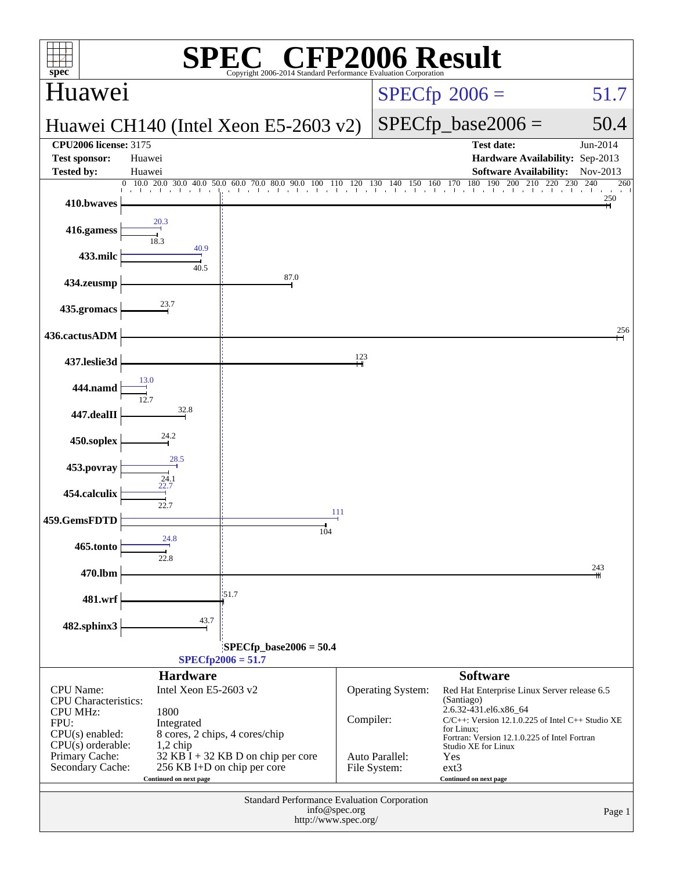| $spec^*$                              |                                                              | $\mathbb{C}^{\circledast}$ CFP2006 Result<br>Copyright 2006-2014 Standard Performance Evaluation Corporatio |           |                          |                                                                                                                                                                                                                                                                                                                                                                                  |                        |
|---------------------------------------|--------------------------------------------------------------|-------------------------------------------------------------------------------------------------------------|-----------|--------------------------|----------------------------------------------------------------------------------------------------------------------------------------------------------------------------------------------------------------------------------------------------------------------------------------------------------------------------------------------------------------------------------|------------------------|
| Huawei                                |                                                              |                                                                                                             |           |                          | $SPECfp^{\circ}2006 =$                                                                                                                                                                                                                                                                                                                                                           | 51.7                   |
|                                       |                                                              | Huawei CH140 (Intel Xeon E5-2603 v2)                                                                        |           |                          | $SPECfp\_base2006 =$                                                                                                                                                                                                                                                                                                                                                             | 50.4                   |
| <b>CPU2006 license: 3175</b>          |                                                              |                                                                                                             |           |                          | <b>Test date:</b>                                                                                                                                                                                                                                                                                                                                                                | Jun-2014               |
| <b>Test sponsor:</b>                  | Huawei                                                       |                                                                                                             |           |                          | Hardware Availability: Sep-2013                                                                                                                                                                                                                                                                                                                                                  |                        |
| <b>Tested by:</b>                     | Huawei                                                       |                                                                                                             |           |                          | <b>Software Availability:</b><br>$\underbrace{0\quad 10.0\quad 20.0\quad 30.0\quad 40.0\quad 50.0\quad 60.0\quad 70.0\quad 80.0\quad 90.0\quad 100\quad 110\quad 120\quad 130\quad 140\quad 150\quad 160\quad 170\quad 180\quad 190\quad 200\quad 210\quad 220\quad 230\quad 240\quad 241\quad 250\quad 260\quad 270\quad 280\quad 280\quad 290\quad 290\quad 290\quad 290\quad$ | Nov-2013<br>240<br>260 |
| 410.bwaves                            |                                                              |                                                                                                             |           |                          |                                                                                                                                                                                                                                                                                                                                                                                  | 250                    |
| 416.gamess                            |                                                              |                                                                                                             |           |                          |                                                                                                                                                                                                                                                                                                                                                                                  |                        |
| 433.milc                              | 40.9<br>40.5                                                 |                                                                                                             |           |                          |                                                                                                                                                                                                                                                                                                                                                                                  |                        |
| 434.zeusmp                            |                                                              | 87.0                                                                                                        |           |                          |                                                                                                                                                                                                                                                                                                                                                                                  |                        |
| 435.gromacs                           |                                                              |                                                                                                             |           |                          |                                                                                                                                                                                                                                                                                                                                                                                  |                        |
| 436.cactusADM                         |                                                              |                                                                                                             |           |                          |                                                                                                                                                                                                                                                                                                                                                                                  | 256                    |
| 437.leslie3d                          |                                                              |                                                                                                             | 123       |                          |                                                                                                                                                                                                                                                                                                                                                                                  |                        |
| 444.namd                              |                                                              |                                                                                                             |           |                          |                                                                                                                                                                                                                                                                                                                                                                                  |                        |
| 447.dealII                            | 32.8                                                         |                                                                                                             |           |                          |                                                                                                                                                                                                                                                                                                                                                                                  |                        |
| 450.soplex                            |                                                              |                                                                                                             |           |                          |                                                                                                                                                                                                                                                                                                                                                                                  |                        |
| 453.povray                            | 28.5<br>$\frac{24.1}{22.7}$                                  |                                                                                                             |           |                          |                                                                                                                                                                                                                                                                                                                                                                                  |                        |
| 454.calculix                          | 22.7                                                         |                                                                                                             |           |                          |                                                                                                                                                                                                                                                                                                                                                                                  |                        |
| 459.GemsFDTD                          | 24.8                                                         | 104                                                                                                         | 111       |                          |                                                                                                                                                                                                                                                                                                                                                                                  |                        |
| 465.tonto                             |                                                              |                                                                                                             |           |                          |                                                                                                                                                                                                                                                                                                                                                                                  |                        |
| 470.lbm                               |                                                              |                                                                                                             |           |                          |                                                                                                                                                                                                                                                                                                                                                                                  | 243                    |
| 481.wrf                               |                                                              | 151.7                                                                                                       |           |                          |                                                                                                                                                                                                                                                                                                                                                                                  |                        |
| 482.sphinx3                           | 43.7                                                         |                                                                                                             |           |                          |                                                                                                                                                                                                                                                                                                                                                                                  |                        |
|                                       |                                                              | $SPECfp\_base2006 = 50.4$                                                                                   |           |                          |                                                                                                                                                                                                                                                                                                                                                                                  |                        |
|                                       |                                                              | $SPECfp2006 = 51.7$                                                                                         |           |                          |                                                                                                                                                                                                                                                                                                                                                                                  |                        |
| CPU Name:                             | <b>Hardware</b><br>Intel Xeon E5-2603 v2                     |                                                                                                             |           |                          | <b>Software</b>                                                                                                                                                                                                                                                                                                                                                                  |                        |
| <b>CPU</b> Characteristics:           |                                                              |                                                                                                             |           | <b>Operating System:</b> | Red Hat Enterprise Linux Server release 6.5<br>(Santiago)                                                                                                                                                                                                                                                                                                                        |                        |
| <b>CPU MHz:</b><br>FPU:               | 1800<br>Integrated                                           |                                                                                                             | Compiler: |                          | 2.6.32-431.el6.x86_64<br>$C/C++$ : Version 12.1.0.225 of Intel $C++$ Studio XE                                                                                                                                                                                                                                                                                                   |                        |
| $CPU(s)$ enabled:                     |                                                              | 8 cores, 2 chips, 4 cores/chip                                                                              |           |                          | for Linux;<br>Fortran: Version 12.1.0.225 of Intel Fortran                                                                                                                                                                                                                                                                                                                       |                        |
| $CPU(s)$ orderable:<br>Primary Cache: | $1,2$ chip                                                   | 32 KB I + 32 KB D on chip per core                                                                          |           | Auto Parallel:           | Studio XE for Linux<br>Yes                                                                                                                                                                                                                                                                                                                                                       |                        |
| Secondary Cache:                      |                                                              | 256 KB I+D on chip per core                                                                                 |           | File System:             | $ext{3}$                                                                                                                                                                                                                                                                                                                                                                         |                        |
|                                       | Continued on next page                                       |                                                                                                             |           |                          | Continued on next page                                                                                                                                                                                                                                                                                                                                                           |                        |
|                                       | Standard Performance Evaluation Corporation<br>info@spec.org |                                                                                                             |           |                          |                                                                                                                                                                                                                                                                                                                                                                                  |                        |
| Page 1<br>http://www.spec.org/        |                                                              |                                                                                                             |           |                          |                                                                                                                                                                                                                                                                                                                                                                                  |                        |
|                                       |                                                              |                                                                                                             |           |                          |                                                                                                                                                                                                                                                                                                                                                                                  |                        |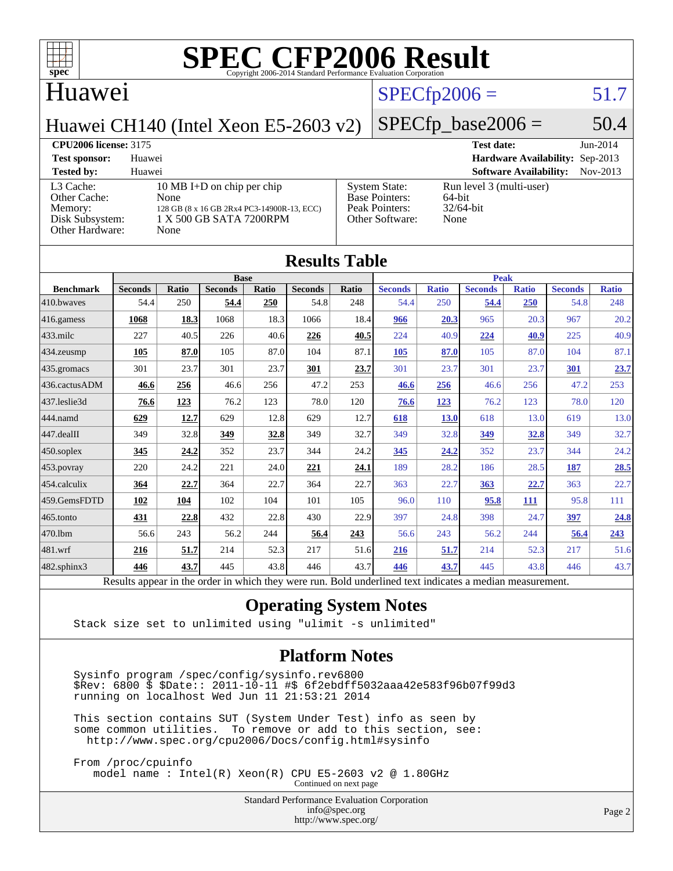

### Huawei

## $SPECfp2006 = 51.7$  $SPECfp2006 = 51.7$

Huawei CH140 (Intel Xeon E5-2603 v2)

### $SPECfp\_base2006 = 50.4$

### **[CPU2006 license:](http://www.spec.org/auto/cpu2006/Docs/result-fields.html#CPU2006license)** 3175 **[Test date:](http://www.spec.org/auto/cpu2006/Docs/result-fields.html#Testdate)** Jun-2014 **[Test sponsor:](http://www.spec.org/auto/cpu2006/Docs/result-fields.html#Testsponsor)** Huawei **[Hardware Availability:](http://www.spec.org/auto/cpu2006/Docs/result-fields.html#HardwareAvailability)** Sep-2013 **[Tested by:](http://www.spec.org/auto/cpu2006/Docs/result-fields.html#Testedby)** Huawei **[Software Availability:](http://www.spec.org/auto/cpu2006/Docs/result-fields.html#SoftwareAvailability)** Nov-2013 [L3 Cache:](http://www.spec.org/auto/cpu2006/Docs/result-fields.html#L3Cache) 10 MB I+D on chip per chip<br>Other Cache: None [Other Cache:](http://www.spec.org/auto/cpu2006/Docs/result-fields.html#OtherCache) [Memory:](http://www.spec.org/auto/cpu2006/Docs/result-fields.html#Memory) 128 GB (8 x 16 GB 2Rx4 PC3-14900R-13, ECC) [Disk Subsystem:](http://www.spec.org/auto/cpu2006/Docs/result-fields.html#DiskSubsystem) 1 X 500 GB SATA 7200RPM [Other Hardware:](http://www.spec.org/auto/cpu2006/Docs/result-fields.html#OtherHardware) None [System State:](http://www.spec.org/auto/cpu2006/Docs/result-fields.html#SystemState) Run level 3 (multi-user)<br>Base Pointers: 64-bit [Base Pointers:](http://www.spec.org/auto/cpu2006/Docs/result-fields.html#BasePointers) 64-bit<br>Peak Pointers: 32/64-bit [Peak Pointers:](http://www.spec.org/auto/cpu2006/Docs/result-fields.html#PeakPointers) [Other Software:](http://www.spec.org/auto/cpu2006/Docs/result-fields.html#OtherSoftware) None

|                  |                                                                                                          |              |                |       | <b>Results Table</b> |             |                |              |                |              |                |              |
|------------------|----------------------------------------------------------------------------------------------------------|--------------|----------------|-------|----------------------|-------------|----------------|--------------|----------------|--------------|----------------|--------------|
|                  | <b>Base</b>                                                                                              |              |                |       |                      | <b>Peak</b> |                |              |                |              |                |              |
| <b>Benchmark</b> | <b>Seconds</b>                                                                                           | <b>Ratio</b> | <b>Seconds</b> | Ratio | <b>Seconds</b>       | Ratio       | <b>Seconds</b> | <b>Ratio</b> | <b>Seconds</b> | <b>Ratio</b> | <b>Seconds</b> | <b>Ratio</b> |
| 410.bwayes       | 54.4                                                                                                     | 250          | 54.4           | 250   | 54.8                 | 248         | 54.4           | 250          | 54.4           | 250          | 54.8           | 248          |
| 416.gamess       | 1068                                                                                                     | 18.3         | 1068           | 18.3  | 1066                 | 18.4        | 966            | 20.3         | 965            | 20.3         | 967            | 20.2         |
| 433.milc         | 227                                                                                                      | 40.5         | 226            | 40.6  | 226                  | 40.5        | 224            | 40.9         | 224            | 40.9         | 225            | 40.9         |
| 434.zeusmp       | 105                                                                                                      | 87.0         | 105            | 87.0  | 104                  | 87.1        | 105            | 87.0         | 105            | 87.0         | 104            | 87.1         |
| 435 gromacs      | 301                                                                                                      | 23.7         | 301            | 23.7  | 301                  | 23.7        | 301            | 23.7         | 301            | 23.7         | 301            | 23.7         |
| 436.cactusADM    | 46.6                                                                                                     | 256          | 46.6           | 256   | 47.2                 | 253         | 46.6           | 256          | 46.6           | 256          | 47.2           | 253          |
| 437.leslie3d     | 76.6                                                                                                     | 123          | 76.2           | 123   | 78.0                 | 120         | 76.6           | 123          | 76.2           | 123          | 78.0           | 120          |
| 444.namd         | 629                                                                                                      | 12.7         | 629            | 12.8  | 629                  | 12.7        | 618            | 13.0         | 618            | 13.0         | 619            | 13.0         |
| 447.dealII       | 349                                                                                                      | 32.8         | 349            | 32.8  | 349                  | 32.7        | 349            | 32.8         | 349            | 32.8         | 349            | 32.7         |
| $450$ .soplex    | 345                                                                                                      | 24.2         | 352            | 23.7  | 344                  | 24.2        | 345            | 24.2         | 352            | 23.7         | 344            | 24.2         |
| 453.povray       | 220                                                                                                      | 24.2         | 221            | 24.0  | 221                  | 24.1        | 189            | 28.2         | 186            | 28.5         | 187            | 28.5         |
| 454.calculix     | 364                                                                                                      | 22.7         | 364            | 22.7  | 364                  | 22.7        | 363            | 22.7         | 363            | 22.7         | 363            | 22.7         |
| 459.GemsFDTD     | 102                                                                                                      | 104          | 102            | 104   | 101                  | 105         | 96.0           | 110          | 95.8           | 111          | 95.8           | 111          |
| 465.tonto        | 431                                                                                                      | 22.8         | 432            | 22.8  | 430                  | 22.9        | 397            | 24.8         | 398            | 24.7         | 397            | 24.8         |
| 470.1bm          | 56.6                                                                                                     | 243          | 56.2           | 244   | 56.4                 | 243         | 56.6           | 243          | 56.2           | 244          | 56.4           | 243          |
| 481.wrf          | 216                                                                                                      | 51.7         | 214            | 52.3  | 217                  | 51.6        | 216            | 51.7         | 214            | 52.3         | 217            | 51.6         |
| 482.sphinx3      | 446                                                                                                      | 43.7         | 445            | 43.8  | 446                  | 43.7        | 446            | 43.7         | 445            | 43.8         | 446            | 43.7         |
|                  | Results appear in the order in which they were run. Bold underlined text indicates a median measurement. |              |                |       |                      |             |                |              |                |              |                |              |

### **[Operating System Notes](http://www.spec.org/auto/cpu2006/Docs/result-fields.html#OperatingSystemNotes)**

Stack size set to unlimited using "ulimit -s unlimited"

### **[Platform Notes](http://www.spec.org/auto/cpu2006/Docs/result-fields.html#PlatformNotes)**

 Sysinfo program /spec/config/sysinfo.rev6800 \$Rev: 6800 \$ \$Date:: 2011-10-11 #\$ 6f2ebdff5032aaa42e583f96b07f99d3 running on localhost Wed Jun 11 21:53:21 2014

 This section contains SUT (System Under Test) info as seen by some common utilities. To remove or add to this section, see: <http://www.spec.org/cpu2006/Docs/config.html#sysinfo>

 From /proc/cpuinfo model name : Intel(R) Xeon(R) CPU E5-2603 v2 @ 1.80GHz

Continued on next page

Standard Performance Evaluation Corporation [info@spec.org](mailto:info@spec.org) <http://www.spec.org/>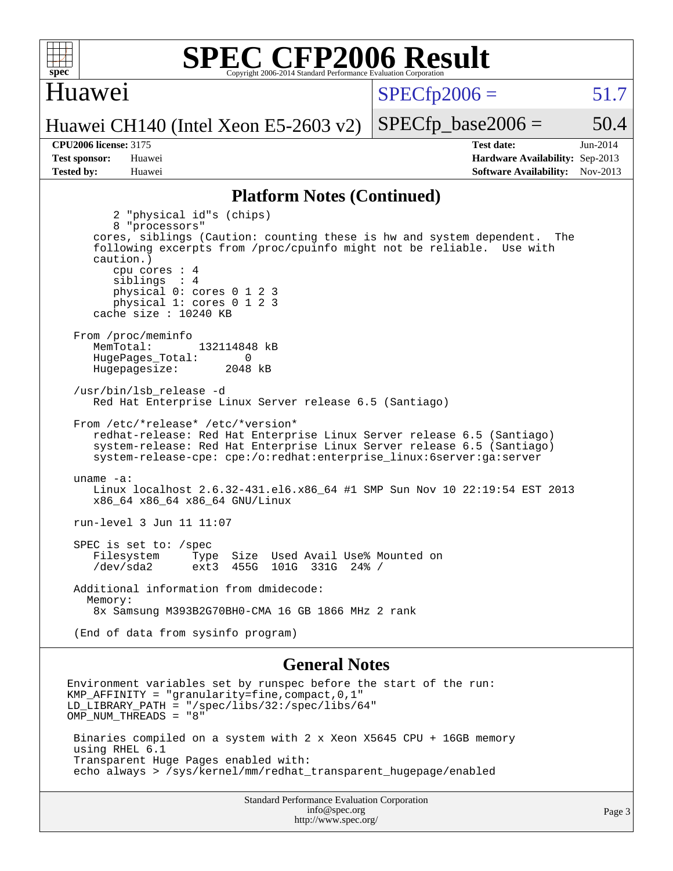

### Huawei

 $SPECTp2006 = 51.7$ 

Huawei CH140 (Intel Xeon E5-2603 v2)

**[CPU2006 license:](http://www.spec.org/auto/cpu2006/Docs/result-fields.html#CPU2006license)** 3175 **[Test date:](http://www.spec.org/auto/cpu2006/Docs/result-fields.html#Testdate)** Jun-2014 **[Test sponsor:](http://www.spec.org/auto/cpu2006/Docs/result-fields.html#Testsponsor)** Huawei **[Hardware Availability:](http://www.spec.org/auto/cpu2006/Docs/result-fields.html#HardwareAvailability)** Sep-2013 **[Tested by:](http://www.spec.org/auto/cpu2006/Docs/result-fields.html#Testedby)** Huawei **[Software Availability:](http://www.spec.org/auto/cpu2006/Docs/result-fields.html#SoftwareAvailability)** Nov-2013

 $SPECTp\_base2006 = 50.4$ 

### **[Platform Notes \(Continued\)](http://www.spec.org/auto/cpu2006/Docs/result-fields.html#PlatformNotes)**

 2 "physical id"s (chips) 8 "processors" cores, siblings (Caution: counting these is hw and system dependent. The following excerpts from /proc/cpuinfo might not be reliable. Use with caution.) cpu cores : 4 siblings : 4 physical 0: cores 0 1 2 3 physical 1: cores 0 1 2 3 cache size : 10240 KB From /proc/meminfo MemTotal: 132114848 kB HugePages\_Total: 0<br>Hugepagesize: 2048 kB Hugepagesize: /usr/bin/lsb\_release -d Red Hat Enterprise Linux Server release 6.5 (Santiago) From /etc/\*release\* /etc/\*version\* redhat-release: Red Hat Enterprise Linux Server release 6.5 (Santiago) system-release: Red Hat Enterprise Linux Server release 6.5 (Santiago) system-release-cpe: cpe:/o:redhat:enterprise\_linux:6server:ga:server uname -a: Linux localhost 2.6.32-431.el6.x86\_64 #1 SMP Sun Nov 10 22:19:54 EST 2013 x86\_64 x86\_64 x86\_64 GNU/Linux run-level 3 Jun 11 11:07 SPEC is set to: /spec<br>Filesystem Type Type Size Used Avail Use% Mounted on /dev/sda2 ext3 455G 101G 331G 24% / Additional information from dmidecode: Memory: 8x Samsung M393B2G70BH0-CMA 16 GB 1866 MHz 2 rank (End of data from sysinfo program)

### **[General Notes](http://www.spec.org/auto/cpu2006/Docs/result-fields.html#GeneralNotes)**

Environment variables set by runspec before the start of the run: KMP AFFINITY = "granularity=fine, compact,  $0,1$ " LD\_LIBRARY\_PATH = "/spec/libs/32:/spec/libs/64" OMP\_NUM\_THREADS = "8" Binaries compiled on a system with 2 x Xeon X5645 CPU + 16GB memory using RHEL 6.1 Transparent Huge Pages enabled with: echo always > /sys/kernel/mm/redhat\_transparent\_hugepage/enabled

> Standard Performance Evaluation Corporation [info@spec.org](mailto:info@spec.org) <http://www.spec.org/>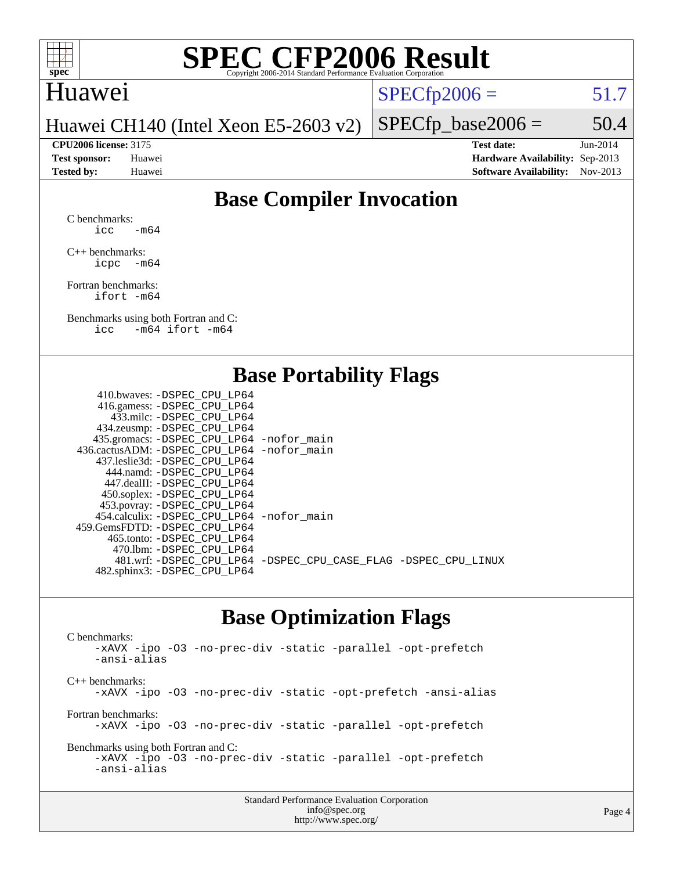

### Huawei

 $SPECTp2006 = 51.7$ 

Huawei CH140 (Intel Xeon E5-2603 v2)

**[Tested by:](http://www.spec.org/auto/cpu2006/Docs/result-fields.html#Testedby)** Huawei **[Software Availability:](http://www.spec.org/auto/cpu2006/Docs/result-fields.html#SoftwareAvailability)** Nov-2013

 $SPECTp\_base2006 = 50.4$ **[CPU2006 license:](http://www.spec.org/auto/cpu2006/Docs/result-fields.html#CPU2006license)** 3175 **[Test date:](http://www.spec.org/auto/cpu2006/Docs/result-fields.html#Testdate)** Jun-2014 **[Test sponsor:](http://www.spec.org/auto/cpu2006/Docs/result-fields.html#Testsponsor)** Huawei **[Hardware Availability:](http://www.spec.org/auto/cpu2006/Docs/result-fields.html#HardwareAvailability)** Sep-2013

### **[Base Compiler Invocation](http://www.spec.org/auto/cpu2006/Docs/result-fields.html#BaseCompilerInvocation)**

[C benchmarks](http://www.spec.org/auto/cpu2006/Docs/result-fields.html#Cbenchmarks):  $\text{icc}$  -m64

[C++ benchmarks:](http://www.spec.org/auto/cpu2006/Docs/result-fields.html#CXXbenchmarks) [icpc -m64](http://www.spec.org/cpu2006/results/res2014q3/cpu2006-20140619-29964.flags.html#user_CXXbase_intel_icpc_64bit_bedb90c1146cab66620883ef4f41a67e)

[Fortran benchmarks](http://www.spec.org/auto/cpu2006/Docs/result-fields.html#Fortranbenchmarks): [ifort -m64](http://www.spec.org/cpu2006/results/res2014q3/cpu2006-20140619-29964.flags.html#user_FCbase_intel_ifort_64bit_ee9d0fb25645d0210d97eb0527dcc06e)

[Benchmarks using both Fortran and C](http://www.spec.org/auto/cpu2006/Docs/result-fields.html#BenchmarksusingbothFortranandC): [icc -m64](http://www.spec.org/cpu2006/results/res2014q3/cpu2006-20140619-29964.flags.html#user_CC_FCbase_intel_icc_64bit_0b7121f5ab7cfabee23d88897260401c) [ifort -m64](http://www.spec.org/cpu2006/results/res2014q3/cpu2006-20140619-29964.flags.html#user_CC_FCbase_intel_ifort_64bit_ee9d0fb25645d0210d97eb0527dcc06e)

### **[Base Portability Flags](http://www.spec.org/auto/cpu2006/Docs/result-fields.html#BasePortabilityFlags)**

| 410.bwaves: -DSPEC CPU LP64                 |                                                                |
|---------------------------------------------|----------------------------------------------------------------|
| 416.gamess: - DSPEC_CPU_LP64                |                                                                |
| 433.milc: -DSPEC CPU LP64                   |                                                                |
| 434.zeusmp: -DSPEC_CPU_LP64                 |                                                                |
| 435.gromacs: -DSPEC_CPU_LP64 -nofor_main    |                                                                |
| 436.cactusADM: -DSPEC CPU LP64 -nofor main  |                                                                |
| 437.leslie3d: -DSPEC CPU LP64               |                                                                |
| 444.namd: - DSPEC CPU LP64                  |                                                                |
| 447.dealII: -DSPEC CPU LP64                 |                                                                |
| 450.soplex: -DSPEC_CPU_LP64                 |                                                                |
| 453.povray: -DSPEC_CPU_LP64                 |                                                                |
| 454.calculix: - DSPEC CPU LP64 - nofor main |                                                                |
| 459.GemsFDTD: -DSPEC CPU LP64               |                                                                |
| 465.tonto: - DSPEC_CPU LP64                 |                                                                |
| 470.1bm: - DSPEC CPU LP64                   |                                                                |
|                                             | 481.wrf: -DSPEC_CPU_LP64 -DSPEC_CPU_CASE_FLAG -DSPEC_CPU_LINUX |
| 482.sphinx3: -DSPEC_CPU_LP64                |                                                                |
|                                             |                                                                |

### **[Base Optimization Flags](http://www.spec.org/auto/cpu2006/Docs/result-fields.html#BaseOptimizationFlags)**

[C benchmarks](http://www.spec.org/auto/cpu2006/Docs/result-fields.html#Cbenchmarks): [-xAVX](http://www.spec.org/cpu2006/results/res2014q3/cpu2006-20140619-29964.flags.html#user_CCbase_f-xAVX) [-ipo](http://www.spec.org/cpu2006/results/res2014q3/cpu2006-20140619-29964.flags.html#user_CCbase_f-ipo) [-O3](http://www.spec.org/cpu2006/results/res2014q3/cpu2006-20140619-29964.flags.html#user_CCbase_f-O3) [-no-prec-div](http://www.spec.org/cpu2006/results/res2014q3/cpu2006-20140619-29964.flags.html#user_CCbase_f-no-prec-div) [-static](http://www.spec.org/cpu2006/results/res2014q3/cpu2006-20140619-29964.flags.html#user_CCbase_f-static) [-parallel](http://www.spec.org/cpu2006/results/res2014q3/cpu2006-20140619-29964.flags.html#user_CCbase_f-parallel) [-opt-prefetch](http://www.spec.org/cpu2006/results/res2014q3/cpu2006-20140619-29964.flags.html#user_CCbase_f-opt-prefetch) [-ansi-alias](http://www.spec.org/cpu2006/results/res2014q3/cpu2006-20140619-29964.flags.html#user_CCbase_f-ansi-alias) [C++ benchmarks:](http://www.spec.org/auto/cpu2006/Docs/result-fields.html#CXXbenchmarks) [-xAVX](http://www.spec.org/cpu2006/results/res2014q3/cpu2006-20140619-29964.flags.html#user_CXXbase_f-xAVX) [-ipo](http://www.spec.org/cpu2006/results/res2014q3/cpu2006-20140619-29964.flags.html#user_CXXbase_f-ipo) [-O3](http://www.spec.org/cpu2006/results/res2014q3/cpu2006-20140619-29964.flags.html#user_CXXbase_f-O3) [-no-prec-div](http://www.spec.org/cpu2006/results/res2014q3/cpu2006-20140619-29964.flags.html#user_CXXbase_f-no-prec-div) [-static](http://www.spec.org/cpu2006/results/res2014q3/cpu2006-20140619-29964.flags.html#user_CXXbase_f-static) [-opt-prefetch](http://www.spec.org/cpu2006/results/res2014q3/cpu2006-20140619-29964.flags.html#user_CXXbase_f-opt-prefetch) [-ansi-alias](http://www.spec.org/cpu2006/results/res2014q3/cpu2006-20140619-29964.flags.html#user_CXXbase_f-ansi-alias) [Fortran benchmarks](http://www.spec.org/auto/cpu2006/Docs/result-fields.html#Fortranbenchmarks): [-xAVX](http://www.spec.org/cpu2006/results/res2014q3/cpu2006-20140619-29964.flags.html#user_FCbase_f-xAVX) [-ipo](http://www.spec.org/cpu2006/results/res2014q3/cpu2006-20140619-29964.flags.html#user_FCbase_f-ipo) [-O3](http://www.spec.org/cpu2006/results/res2014q3/cpu2006-20140619-29964.flags.html#user_FCbase_f-O3) [-no-prec-div](http://www.spec.org/cpu2006/results/res2014q3/cpu2006-20140619-29964.flags.html#user_FCbase_f-no-prec-div) [-static](http://www.spec.org/cpu2006/results/res2014q3/cpu2006-20140619-29964.flags.html#user_FCbase_f-static) [-parallel](http://www.spec.org/cpu2006/results/res2014q3/cpu2006-20140619-29964.flags.html#user_FCbase_f-parallel) [-opt-prefetch](http://www.spec.org/cpu2006/results/res2014q3/cpu2006-20140619-29964.flags.html#user_FCbase_f-opt-prefetch) [Benchmarks using both Fortran and C](http://www.spec.org/auto/cpu2006/Docs/result-fields.html#BenchmarksusingbothFortranandC): [-xAVX](http://www.spec.org/cpu2006/results/res2014q3/cpu2006-20140619-29964.flags.html#user_CC_FCbase_f-xAVX) [-ipo](http://www.spec.org/cpu2006/results/res2014q3/cpu2006-20140619-29964.flags.html#user_CC_FCbase_f-ipo) [-O3](http://www.spec.org/cpu2006/results/res2014q3/cpu2006-20140619-29964.flags.html#user_CC_FCbase_f-O3) [-no-prec-div](http://www.spec.org/cpu2006/results/res2014q3/cpu2006-20140619-29964.flags.html#user_CC_FCbase_f-no-prec-div) [-static](http://www.spec.org/cpu2006/results/res2014q3/cpu2006-20140619-29964.flags.html#user_CC_FCbase_f-static) [-parallel](http://www.spec.org/cpu2006/results/res2014q3/cpu2006-20140619-29964.flags.html#user_CC_FCbase_f-parallel) [-opt-prefetch](http://www.spec.org/cpu2006/results/res2014q3/cpu2006-20140619-29964.flags.html#user_CC_FCbase_f-opt-prefetch) [-ansi-alias](http://www.spec.org/cpu2006/results/res2014q3/cpu2006-20140619-29964.flags.html#user_CC_FCbase_f-ansi-alias)

| <b>Standard Performance Evaluation Corporation</b> |
|----------------------------------------------------|
| info@spec.org                                      |
| http://www.spec.org/                               |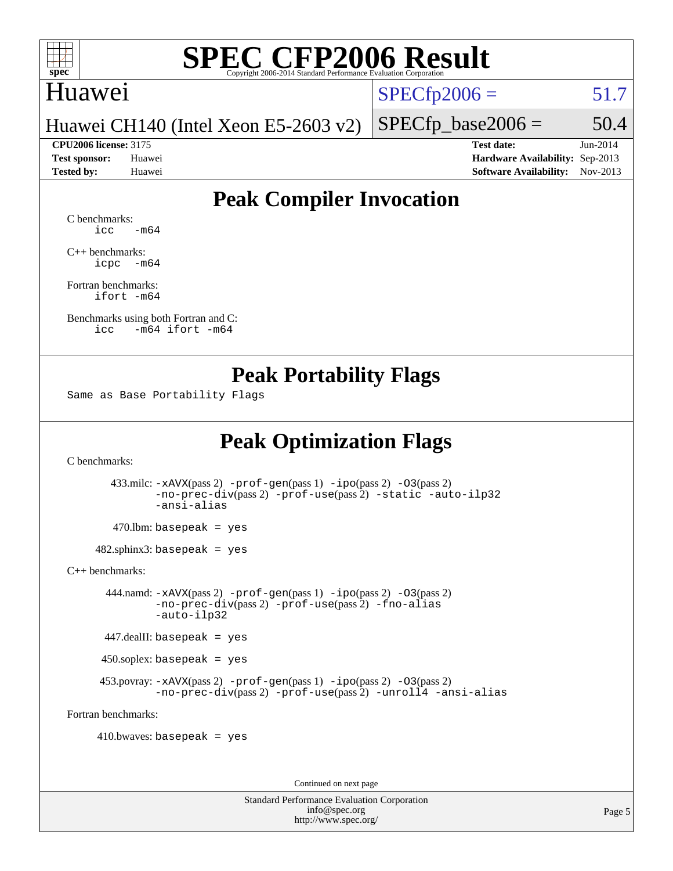

### Huawei

 $SPECTp2006 = 51.7$ 

 $SPECfp\_base2006 = 50.4$ 

Huawei CH140 (Intel Xeon E5-2603 v2)

**[CPU2006 license:](http://www.spec.org/auto/cpu2006/Docs/result-fields.html#CPU2006license)** 3175 **[Test date:](http://www.spec.org/auto/cpu2006/Docs/result-fields.html#Testdate)** Jun-2014 **[Test sponsor:](http://www.spec.org/auto/cpu2006/Docs/result-fields.html#Testsponsor)** Huawei **[Hardware Availability:](http://www.spec.org/auto/cpu2006/Docs/result-fields.html#HardwareAvailability)** Sep-2013 **[Tested by:](http://www.spec.org/auto/cpu2006/Docs/result-fields.html#Testedby)** Huawei **[Software Availability:](http://www.spec.org/auto/cpu2006/Docs/result-fields.html#SoftwareAvailability)** Nov-2013

## **[Peak Compiler Invocation](http://www.spec.org/auto/cpu2006/Docs/result-fields.html#PeakCompilerInvocation)**

[C benchmarks](http://www.spec.org/auto/cpu2006/Docs/result-fields.html#Cbenchmarks):  $\text{icc}$   $-\text{m64}$ 

[C++ benchmarks:](http://www.spec.org/auto/cpu2006/Docs/result-fields.html#CXXbenchmarks) [icpc -m64](http://www.spec.org/cpu2006/results/res2014q3/cpu2006-20140619-29964.flags.html#user_CXXpeak_intel_icpc_64bit_bedb90c1146cab66620883ef4f41a67e)

[Fortran benchmarks](http://www.spec.org/auto/cpu2006/Docs/result-fields.html#Fortranbenchmarks): [ifort -m64](http://www.spec.org/cpu2006/results/res2014q3/cpu2006-20140619-29964.flags.html#user_FCpeak_intel_ifort_64bit_ee9d0fb25645d0210d97eb0527dcc06e)

[Benchmarks using both Fortran and C](http://www.spec.org/auto/cpu2006/Docs/result-fields.html#BenchmarksusingbothFortranandC): [icc -m64](http://www.spec.org/cpu2006/results/res2014q3/cpu2006-20140619-29964.flags.html#user_CC_FCpeak_intel_icc_64bit_0b7121f5ab7cfabee23d88897260401c) [ifort -m64](http://www.spec.org/cpu2006/results/res2014q3/cpu2006-20140619-29964.flags.html#user_CC_FCpeak_intel_ifort_64bit_ee9d0fb25645d0210d97eb0527dcc06e)

### **[Peak Portability Flags](http://www.spec.org/auto/cpu2006/Docs/result-fields.html#PeakPortabilityFlags)**

Same as Base Portability Flags

## **[Peak Optimization Flags](http://www.spec.org/auto/cpu2006/Docs/result-fields.html#PeakOptimizationFlags)**

[C benchmarks](http://www.spec.org/auto/cpu2006/Docs/result-fields.html#Cbenchmarks):

 433.milc: [-xAVX](http://www.spec.org/cpu2006/results/res2014q3/cpu2006-20140619-29964.flags.html#user_peakPASS2_CFLAGSPASS2_LDFLAGS433_milc_f-xAVX)(pass 2) [-prof-gen](http://www.spec.org/cpu2006/results/res2014q3/cpu2006-20140619-29964.flags.html#user_peakPASS1_CFLAGSPASS1_LDFLAGS433_milc_prof_gen_e43856698f6ca7b7e442dfd80e94a8fc)(pass 1) [-ipo](http://www.spec.org/cpu2006/results/res2014q3/cpu2006-20140619-29964.flags.html#user_peakPASS2_CFLAGSPASS2_LDFLAGS433_milc_f-ipo)(pass 2) [-O3](http://www.spec.org/cpu2006/results/res2014q3/cpu2006-20140619-29964.flags.html#user_peakPASS2_CFLAGSPASS2_LDFLAGS433_milc_f-O3)(pass 2) [-no-prec-div](http://www.spec.org/cpu2006/results/res2014q3/cpu2006-20140619-29964.flags.html#user_peakPASS2_CFLAGSPASS2_LDFLAGS433_milc_f-no-prec-div)(pass 2) [-prof-use](http://www.spec.org/cpu2006/results/res2014q3/cpu2006-20140619-29964.flags.html#user_peakPASS2_CFLAGSPASS2_LDFLAGS433_milc_prof_use_bccf7792157ff70d64e32fe3e1250b55)(pass 2) [-static](http://www.spec.org/cpu2006/results/res2014q3/cpu2006-20140619-29964.flags.html#user_peakOPTIMIZE433_milc_f-static) [-auto-ilp32](http://www.spec.org/cpu2006/results/res2014q3/cpu2006-20140619-29964.flags.html#user_peakCOPTIMIZE433_milc_f-auto-ilp32) [-ansi-alias](http://www.spec.org/cpu2006/results/res2014q3/cpu2006-20140619-29964.flags.html#user_peakCOPTIMIZE433_milc_f-ansi-alias)

 $470.$ lbm: basepeak = yes

482.sphinx3: basepeak = yes

[C++ benchmarks:](http://www.spec.org/auto/cpu2006/Docs/result-fields.html#CXXbenchmarks)

 444.namd: [-xAVX](http://www.spec.org/cpu2006/results/res2014q3/cpu2006-20140619-29964.flags.html#user_peakPASS2_CXXFLAGSPASS2_LDFLAGS444_namd_f-xAVX)(pass 2) [-prof-gen](http://www.spec.org/cpu2006/results/res2014q3/cpu2006-20140619-29964.flags.html#user_peakPASS1_CXXFLAGSPASS1_LDFLAGS444_namd_prof_gen_e43856698f6ca7b7e442dfd80e94a8fc)(pass 1) [-ipo](http://www.spec.org/cpu2006/results/res2014q3/cpu2006-20140619-29964.flags.html#user_peakPASS2_CXXFLAGSPASS2_LDFLAGS444_namd_f-ipo)(pass 2) [-O3](http://www.spec.org/cpu2006/results/res2014q3/cpu2006-20140619-29964.flags.html#user_peakPASS2_CXXFLAGSPASS2_LDFLAGS444_namd_f-O3)(pass 2) [-no-prec-div](http://www.spec.org/cpu2006/results/res2014q3/cpu2006-20140619-29964.flags.html#user_peakPASS2_CXXFLAGSPASS2_LDFLAGS444_namd_f-no-prec-div)(pass 2) [-prof-use](http://www.spec.org/cpu2006/results/res2014q3/cpu2006-20140619-29964.flags.html#user_peakPASS2_CXXFLAGSPASS2_LDFLAGS444_namd_prof_use_bccf7792157ff70d64e32fe3e1250b55)(pass 2) [-fno-alias](http://www.spec.org/cpu2006/results/res2014q3/cpu2006-20140619-29964.flags.html#user_peakCXXOPTIMIZEOPTIMIZE444_namd_f-no-alias_694e77f6c5a51e658e82ccff53a9e63a) [-auto-ilp32](http://www.spec.org/cpu2006/results/res2014q3/cpu2006-20140619-29964.flags.html#user_peakCXXOPTIMIZE444_namd_f-auto-ilp32)

447.dealII: basepeak = yes

450.soplex: basepeak = yes

453.povray:  $-xAVX(pass 2)$  $-xAVX(pass 2)$  [-prof-gen](http://www.spec.org/cpu2006/results/res2014q3/cpu2006-20140619-29964.flags.html#user_peakPASS1_CXXFLAGSPASS1_LDFLAGS453_povray_prof_gen_e43856698f6ca7b7e442dfd80e94a8fc)(pass 1) [-ipo](http://www.spec.org/cpu2006/results/res2014q3/cpu2006-20140619-29964.flags.html#user_peakPASS2_CXXFLAGSPASS2_LDFLAGS453_povray_f-ipo)(pass 2) -03(pass 2) [-no-prec-div](http://www.spec.org/cpu2006/results/res2014q3/cpu2006-20140619-29964.flags.html#user_peakPASS2_CXXFLAGSPASS2_LDFLAGS453_povray_f-no-prec-div)(pass 2) [-prof-use](http://www.spec.org/cpu2006/results/res2014q3/cpu2006-20140619-29964.flags.html#user_peakPASS2_CXXFLAGSPASS2_LDFLAGS453_povray_prof_use_bccf7792157ff70d64e32fe3e1250b55)(pass 2) [-unroll4](http://www.spec.org/cpu2006/results/res2014q3/cpu2006-20140619-29964.flags.html#user_peakCXXOPTIMIZE453_povray_f-unroll_4e5e4ed65b7fd20bdcd365bec371b81f) [-ansi-alias](http://www.spec.org/cpu2006/results/res2014q3/cpu2006-20140619-29964.flags.html#user_peakCXXOPTIMIZE453_povray_f-ansi-alias)

[Fortran benchmarks](http://www.spec.org/auto/cpu2006/Docs/result-fields.html#Fortranbenchmarks):

 $410.bwaves: basepeak = yes$ 

Continued on next page

Standard Performance Evaluation Corporation [info@spec.org](mailto:info@spec.org) <http://www.spec.org/>